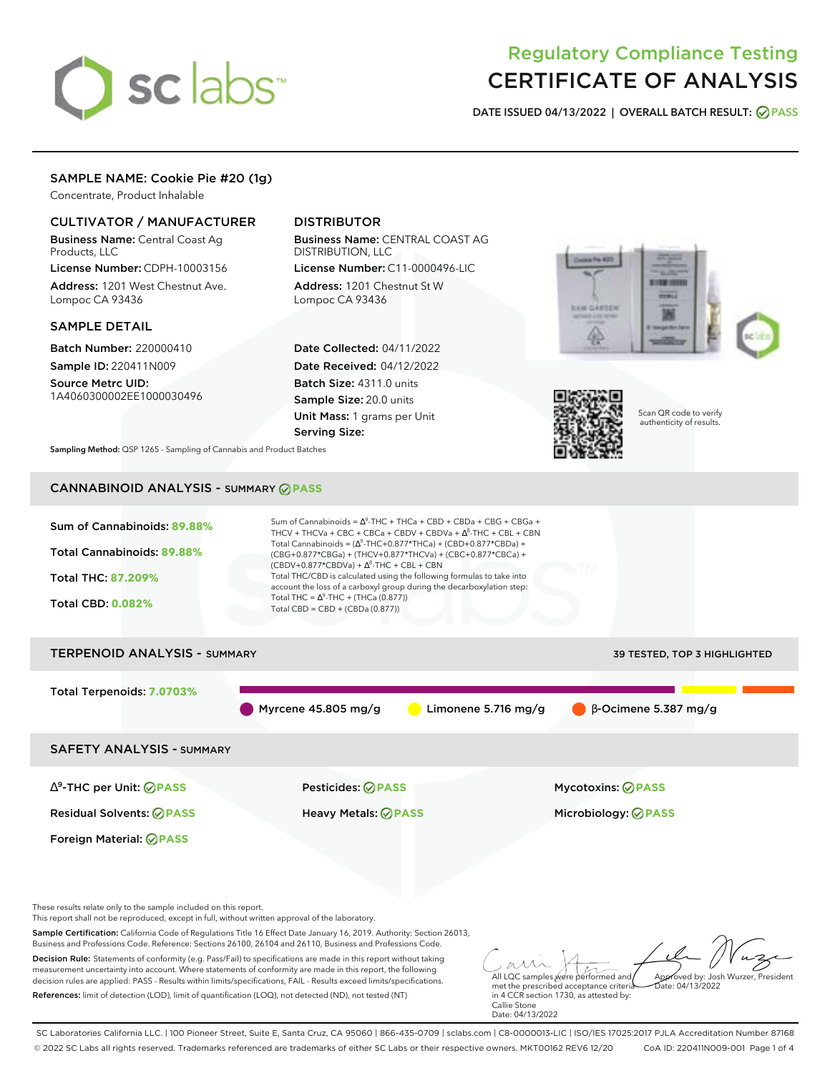# sclabs<sup>\*</sup>

# Regulatory Compliance Testing CERTIFICATE OF ANALYSIS

**DATE ISSUED 04/13/2022 | OVERALL BATCH RESULT: PASS**

# SAMPLE NAME: Cookie Pie #20 (1g)

Concentrate, Product Inhalable

# CULTIVATOR / MANUFACTURER

Business Name: Central Coast Ag Products, LLC

License Number: CDPH-10003156 Address: 1201 West Chestnut Ave. Lompoc CA 93436

# SAMPLE DETAIL

Batch Number: 220000410 Sample ID: 220411N009

Source Metrc UID: 1A4060300002EE1000030496

# DISTRIBUTOR

Business Name: CENTRAL COAST AG DISTRIBUTION, LLC License Number: C11-0000496-LIC

Address: 1201 Chestnut St W Lompoc CA 93436

Date Collected: 04/11/2022 Date Received: 04/12/2022 Batch Size: 4311.0 units Sample Size: 20.0 units Unit Mass: 1 grams per Unit Serving Size:





Scan QR code to verify authenticity of results.

**Sampling Method:** QSP 1265 - Sampling of Cannabis and Product Batches

# CANNABINOID ANALYSIS - SUMMARY **PASS**



SC Laboratories California LLC. | 100 Pioneer Street, Suite E, Santa Cruz, CA 95060 | 866-435-0709 | sclabs.com | C8-0000013-LIC | ISO/IES 17025:2017 PJLA Accreditation Number 87168 © 2022 SC Labs all rights reserved. Trademarks referenced are trademarks of either SC Labs or their respective owners. MKT00162 REV6 12/20 CoA ID: 220411N009-001 Page 1 of 4